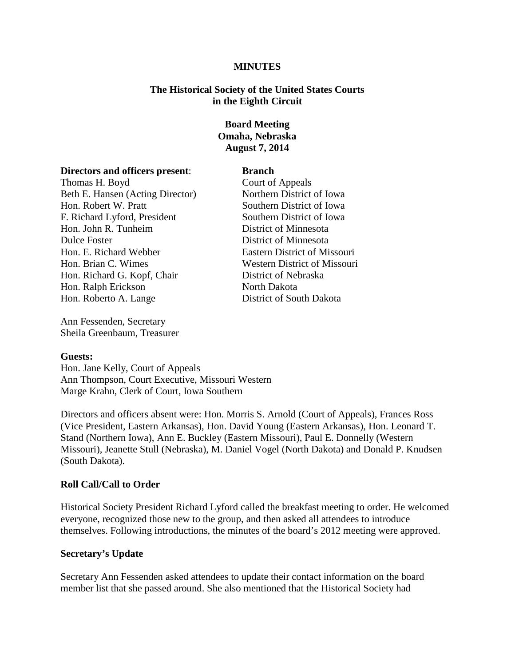#### **MINUTES**

### **The Historical Society of the United States Courts in the Eighth Circuit**

## **Board Meeting Omaha, Nebraska August 7, 2014**

#### **Directors and officers present**: **Branch**

Thomas H. Boyd<br>
Beth E. Hansen (Acting Director) Court of Appeals<br>
Northern District of Iowa Beth E. Hansen (Acting Director) Hon. Robert W. Pratt Southern District of Iowa F. Richard Lyford, President Southern District of Iowa Hon. John R. Tunheim District of Minnesota Dulce Foster District of Minnesota Hon. E. Richard Webber Eastern District of Missouri Hon. Brian C. Wimes Western District of Missouri Hon. Richard G. Kopf, Chair District of Nebraska Hon. Ralph Erickson North Dakota Hon. Roberto A. Lange District of South Dakota

Ann Fessenden, Secretary Sheila Greenbaum, Treasurer

### **Guests:**

Hon. Jane Kelly, Court of Appeals Ann Thompson, Court Executive, Missouri Western Marge Krahn, Clerk of Court, Iowa Southern

Directors and officers absent were: Hon. Morris S. Arnold (Court of Appeals), Frances Ross (Vice President, Eastern Arkansas), Hon. David Young (Eastern Arkansas), Hon. Leonard T. Stand (Northern Iowa), Ann E. Buckley (Eastern Missouri), Paul E. Donnelly (Western Missouri), Jeanette Stull (Nebraska), M. Daniel Vogel (North Dakota) and Donald P. Knudsen (South Dakota).

#### **Roll Call/Call to Order**

Historical Society President Richard Lyford called the breakfast meeting to order. He welcomed everyone, recognized those new to the group, and then asked all attendees to introduce themselves. Following introductions, the minutes of the board's 2012 meeting were approved.

#### **Secretary's Update**

Secretary Ann Fessenden asked attendees to update their contact information on the board member list that she passed around. She also mentioned that the Historical Society had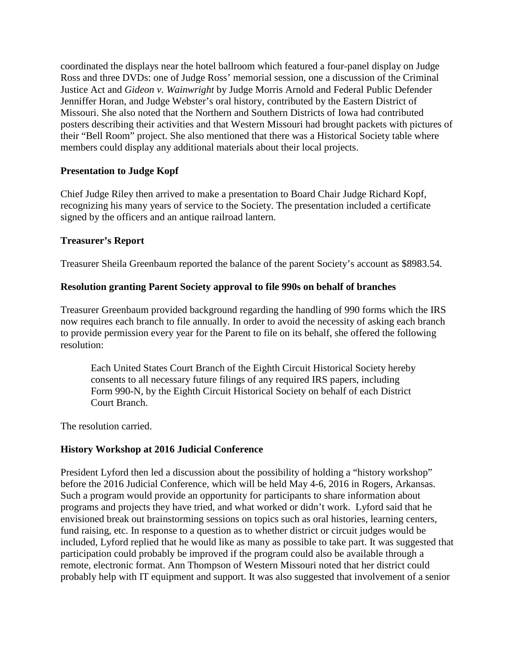coordinated the displays near the hotel ballroom which featured a four-panel display on Judge Ross and three DVDs: one of Judge Ross' memorial session, one a discussion of the Criminal Justice Act and *Gideon v. Wainwright* by Judge Morris Arnold and Federal Public Defender Jenniffer Horan, and Judge Webster's oral history, contributed by the Eastern District of Missouri. She also noted that the Northern and Southern Districts of Iowa had contributed posters describing their activities and that Western Missouri had brought packets with pictures of their "Bell Room" project. She also mentioned that there was a Historical Society table where members could display any additional materials about their local projects.

# **Presentation to Judge Kopf**

Chief Judge Riley then arrived to make a presentation to Board Chair Judge Richard Kopf, recognizing his many years of service to the Society. The presentation included a certificate signed by the officers and an antique railroad lantern.

### **Treasurer's Report**

Treasurer Sheila Greenbaum reported the balance of the parent Society's account as \$8983.54.

## **Resolution granting Parent Society approval to file 990s on behalf of branches**

Treasurer Greenbaum provided background regarding the handling of 990 forms which the IRS now requires each branch to file annually. In order to avoid the necessity of asking each branch to provide permission every year for the Parent to file on its behalf, she offered the following resolution:

Each United States Court Branch of the Eighth Circuit Historical Society hereby consents to all necessary future filings of any required IRS papers, including Form 990-N, by the Eighth Circuit Historical Society on behalf of each District Court Branch.

The resolution carried.

# **History Workshop at 2016 Judicial Conference**

President Lyford then led a discussion about the possibility of holding a "history workshop" before the 2016 Judicial Conference, which will be held May 4-6, 2016 in Rogers, Arkansas. Such a program would provide an opportunity for participants to share information about programs and projects they have tried, and what worked or didn't work. Lyford said that he envisioned break out brainstorming sessions on topics such as oral histories, learning centers, fund raising, etc. In response to a question as to whether district or circuit judges would be included, Lyford replied that he would like as many as possible to take part. It was suggested that participation could probably be improved if the program could also be available through a remote, electronic format. Ann Thompson of Western Missouri noted that her district could probably help with IT equipment and support. It was also suggested that involvement of a senior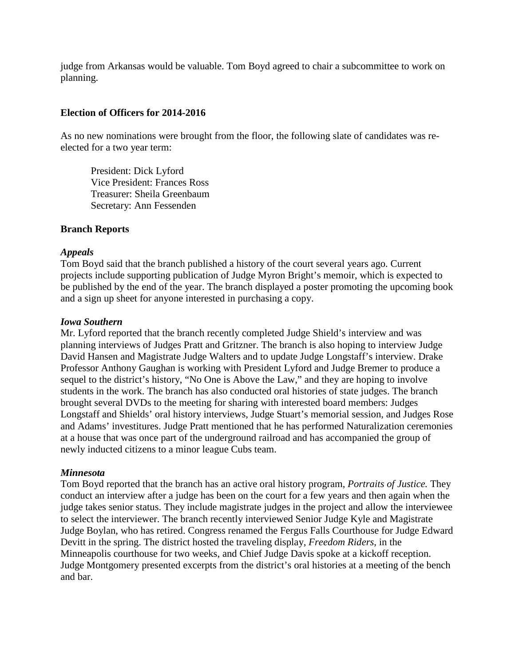judge from Arkansas would be valuable. Tom Boyd agreed to chair a subcommittee to work on planning.

### **Election of Officers for 2014-2016**

As no new nominations were brought from the floor, the following slate of candidates was reelected for a two year term:

President: Dick Lyford Vice President: Frances Ross Treasurer: Sheila Greenbaum Secretary: Ann Fessenden

### **Branch Reports**

#### *Appeals*

Tom Boyd said that the branch published a history of the court several years ago. Current projects include supporting publication of Judge Myron Bright's memoir, which is expected to be published by the end of the year. The branch displayed a poster promoting the upcoming book and a sign up sheet for anyone interested in purchasing a copy.

#### *Iowa Southern*

Mr. Lyford reported that the branch recently completed Judge Shield's interview and was planning interviews of Judges Pratt and Gritzner. The branch is also hoping to interview Judge David Hansen and Magistrate Judge Walters and to update Judge Longstaff's interview. Drake Professor Anthony Gaughan is working with President Lyford and Judge Bremer to produce a sequel to the district's history, "No One is Above the Law," and they are hoping to involve students in the work. The branch has also conducted oral histories of state judges. The branch brought several DVDs to the meeting for sharing with interested board members: Judges Longstaff and Shields' oral history interviews, Judge Stuart's memorial session, and Judges Rose and Adams' investitures. Judge Pratt mentioned that he has performed Naturalization ceremonies at a house that was once part of the underground railroad and has accompanied the group of newly inducted citizens to a minor league Cubs team.

### *Minnesota*

Tom Boyd reported that the branch has an active oral history program, *Portraits of Justice.* They conduct an interview after a judge has been on the court for a few years and then again when the judge takes senior status. They include magistrate judges in the project and allow the interviewee to select the interviewer. The branch recently interviewed Senior Judge Kyle and Magistrate Judge Boylan, who has retired. Congress renamed the Fergus Falls Courthouse for Judge Edward Devitt in the spring. The district hosted the traveling display, *Freedom Riders*, in the Minneapolis courthouse for two weeks, and Chief Judge Davis spoke at a kickoff reception. Judge Montgomery presented excerpts from the district's oral histories at a meeting of the bench and bar.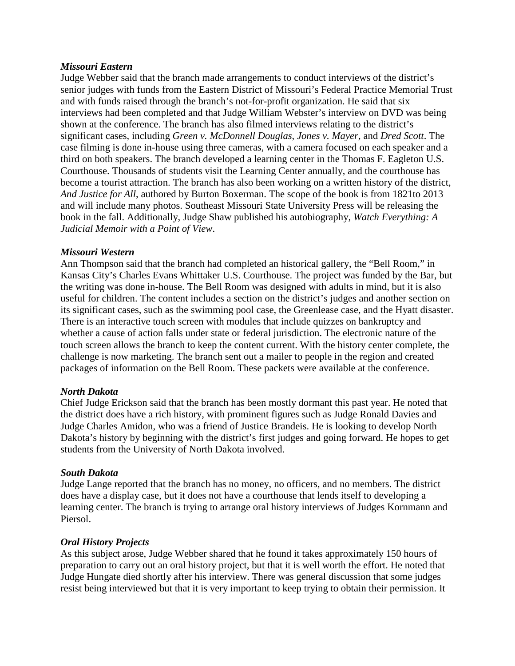### *Missouri Eastern*

Judge Webber said that the branch made arrangements to conduct interviews of the district's senior judges with funds from the Eastern District of Missouri's Federal Practice Memorial Trust and with funds raised through the branch's not-for-profit organization. He said that six interviews had been completed and that Judge William Webster's interview on DVD was being shown at the conference. The branch has also filmed interviews relating to the district's significant cases, including *Green v. McDonnell Douglas*, *Jones v. Mayer,* and *Dred Scott*. The case filming is done in-house using three cameras, with a camera focused on each speaker and a third on both speakers. The branch developed a learning center in the Thomas F. Eagleton U.S. Courthouse. Thousands of students visit the Learning Center annually, and the courthouse has become a tourist attraction. The branch has also been working on a written history of the district, *And Justice for All*, authored by Burton Boxerman. The scope of the book is from 1821to 2013 and will include many photos. Southeast Missouri State University Press will be releasing the book in the fall. Additionally, Judge Shaw published his autobiography, *Watch Everything: A Judicial Memoir with a Point of View*.

### *Missouri Western*

Ann Thompson said that the branch had completed an historical gallery, the "Bell Room," in Kansas City's Charles Evans Whittaker U.S. Courthouse. The project was funded by the Bar, but the writing was done in-house. The Bell Room was designed with adults in mind, but it is also useful for children. The content includes a section on the district's judges and another section on its significant cases, such as the swimming pool case, the Greenlease case, and the Hyatt disaster. There is an interactive touch screen with modules that include quizzes on bankruptcy and whether a cause of action falls under state or federal jurisdiction. The electronic nature of the touch screen allows the branch to keep the content current. With the history center complete, the challenge is now marketing. The branch sent out a mailer to people in the region and created packages of information on the Bell Room. These packets were available at the conference.

#### *North Dakota*

Chief Judge Erickson said that the branch has been mostly dormant this past year. He noted that the district does have a rich history, with prominent figures such as Judge Ronald Davies and Judge Charles Amidon, who was a friend of Justice Brandeis. He is looking to develop North Dakota's history by beginning with the district's first judges and going forward. He hopes to get students from the University of North Dakota involved.

#### *South Dakota*

Judge Lange reported that the branch has no money, no officers, and no members. The district does have a display case, but it does not have a courthouse that lends itself to developing a learning center. The branch is trying to arrange oral history interviews of Judges Kornmann and Piersol.

### *Oral History Projects*

As this subject arose, Judge Webber shared that he found it takes approximately 150 hours of preparation to carry out an oral history project, but that it is well worth the effort. He noted that Judge Hungate died shortly after his interview. There was general discussion that some judges resist being interviewed but that it is very important to keep trying to obtain their permission. It